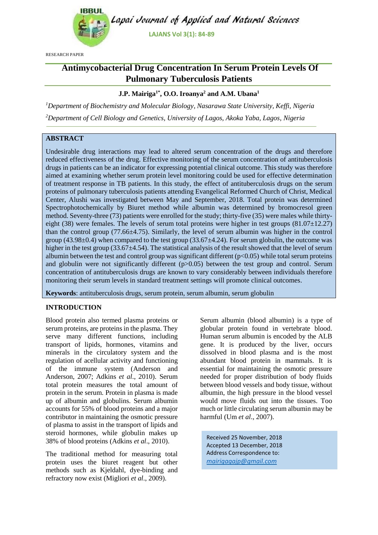

RESEARCH PAPER

# **Antimycobacterial Drug Concentration In Serum Protein Levels Of Pulmonary Tuberculosis Patients**

# **J.P. Mairiga1\* , O.O. Iroanya<sup>2</sup> and A.M. Ubana<sup>1</sup>**

*<sup>1</sup>Department of Biochemistry and Molecular Biology, Nasarawa State University, Keffi, Nigeria <sup>2</sup>Department of Cell Biology and Genetics, University of Lagos, Akoka Yaba, Lagos, Nigeria*

## **ABSTRACT**

Undesirable drug interactions may lead to altered serum concentration of the drugs and therefore reduced effectiveness of the drug. Effective monitoring of the serum concentration of antituberculosis drugs in patients can be an indicator for expressing potential clinical outcome. This study was therefore aimed at examining whether serum protein level monitoring could be used for effective determination of treatment response in TB patients. In this study, the effect of antituberculosis drugs on the serum proteins of pulmonary tuberculosis patients attending Evangelical Reformed Church of Christ, Medical Center, Alushi was investigated between May and September, 2018. Total protein was determined Spectrophotochemically by Biuret method while albumin was determined by bromocresol green method. Seventy-three (73) patients were enrolled for the study; thirty-five (35) were males while thirtyeight (38) were females. The levels of serum total proteins were higher in test groups  $(81.07 \pm 12.27)$ than the control group (77.66±4.75). Similarly, the level of serum albumin was higher in the control group (43.98 $\pm$ 0.4) when compared to the test group (33.67 $\pm$ 4.24). For serum globulin, the outcome was higher in the test group (33.67 $\pm$ 4.54). The statistical analysis of the result showed that the level of serum albumin between the test and control group was significant different  $(p<0.05)$  while total serum proteins and globulin were not significantly different (p $> 0.05$ ) between the test group and control. Serum concentration of antituberculosis drugs are known to vary considerably between individuals therefore monitoring their serum levels in standard treatment settings will promote clinical outcomes.

**Keywords**: antituberculosis drugs, serum protein, serum albumin, serum globulin

## **INTRODUCTION**

Blood protein also termed plasma proteins or serum proteins, are proteins in the plasma. They serve many different functions, including transport of lipids, hormones, vitamins and minerals in the circulatory system and the regulation of acellular activity and functioning of the immune system (Anderson and Anderson, 2007; Adkins *et al*., 2010). Serum total protein measures the total amount of protein in the serum. Protein in plasma is made up of albumin and globulins. Serum albumin accounts for 55% of blood proteins and a major contributor in maintaining the osmotic pressure of plasma to assist in the transport of lipids and steroid hormones, while globulin makes up 38% of blood proteins (Adkins *et al*., 2010).

The traditional method for measuring total protein uses the biuret reagent but other methods such as Kjeldahl, dye-binding and refractory now exist (Migliori *et al*., 2009).

Serum albumin (blood albumin) is a type of globular protein found in vertebrate blood. Human serum albumin is encoded by the ALB gene. It is produced by the liver, occurs dissolved in blood plasma and is the most abundant blood protein in mammals. It is essential for maintaining the osmotic pressure needed for proper distribution of body fluids between blood vessels and body tissue, without albumin, the high pressure in the blood vessel would move fluids out into the tissues. Too much or little circulating serum albumin may be harmful (Um *et al*., 2007).

Received 25 November, 2018 Accepted 13 December, 2018 Address Correspondence to: *[mairigagajp@gmail.com](mailto:mairigagajp@gmail.com)*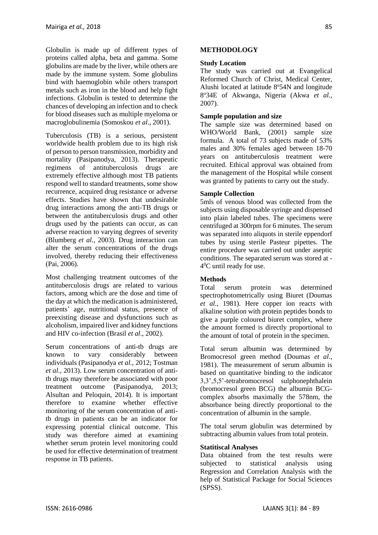Globulin is made up of different types of proteins called alpha, beta and gamma. Some globulins are made by the liver, while others are made by the immune system. Some globulins bind with haemoglobin while others transport metals such as iron in the blood and help fight infections. Globulin is tested to determine the chances of developing an infection and to check for blood diseases such as multiple myeloma or macroglobulinemia (Somoskou *et al*., 2001).

Tuberculosis (TB) is a serious, persistent worldwide health problem due to its high risk of person to person transmission, morbidity and mortality (Pasipanodya, 2013). Therapeutic regimens of antituberculosis drugs are extremely effective although most TB patients respond well to standard treatments, some show recurrence, acquired drug resistance or adverse effects. Studies have shown that undesirable drug interactions among the anti-TB drugs or between the antituberculosis drugs and other drugs used by the patients can occur, as can adverse reaction to varying degrees of severity (Blumberg *et al*., 2003). Drug interaction can alter the serum concentrations of the drugs involved, thereby reducing their effectiveness (Pai, 2006).

Most challenging treatment outcomes of the antituberculosis drugs are related to various factors, among which are the dose and time of the day at which the medication is administered, patients' age, nutritional status, presence of preexisting disease and dysfunctions such as alcoholism, impaired liver and kidney functions and HIV co-infection (Brasil *et al*., 2002).

Serum concentrations of anti-tb drugs are known to vary considerably between individuals (Pasipanodya *et al.,* 2012; Tostman *et al.,* 2013). Low serum concentration of antitb drugs may therefore be associated with poor treatment outcome (Pasipanodya, 2013; Alsultan and Peloquin, 2014). It is important therefore to examine whether effective monitoring of the serum concentration of antitb drugs in patients can be an indicator for expressing potential clinical outcome. This study was therefore aimed at examining whether serum protein level monitoring could be used for effective determination of treatment response in TB patients.

### **METHODOLOGY**

### **Study Location**

The study was carried out at Evangelical Reformed Church of Christ, Medical Center, Alushi located at latitude  $8^{\circ}54N$  and longitude 8 <sup>o</sup>34E of Akwanga, Nigeria (Akwa *et al.,*  2007).

### **Sample population and size**

The sample size was determined based on WHO/World Bank, (2001) sample size formula. A total of 73 subjects made of 53% males and 30% females aged between 18-70 years on antituberculosis treatment were recruited. Ethical approval was obtained from the management of the Hospital while consent was granted by patients to carry out the study.

### **Sample Collection**

5mls of venous blood was collected from the subjects using disposable syringe and dispensed into plain labeled tubes. The specimens were centrifuged at 300rpm for 6 minutes. The serum was separated into aliquots in sterile eppendorf tubes by using sterile Pasteur pipettes. The entire procedure was carried out under aseptic conditions. The separated serum was stored at - 4 <sup>0</sup>C until ready for use.

## **Methods**

Total serum protein was determined spectrophotometrically using Biuret (Doumas *et al*., 1981). Here copper ion reacts with alkaline solution with protein peptides bonds to give a purple coloured biuret complex, where the amount formed is directly proportional to the amount of total of protein in the specimen.

Total serum albumin was determined by Bromocresol green method (Doumas *et al*., 1981). The measurement of serum albumin is based on quantitative binding to the indicator 3,3',5,5'-tetrabromocresol sulphonephthalein (bromocresol green BCG) the albumin BCGcomplex absorbs maximally the 578nm, the absorbance being directly proportional to the concentration of albumin in the sample.

The total serum globulin was determined by subtracting albumin values from total protein.

### **Statitiscal Analyses**

Data obtained from the test results were subjected to statistical analysis using Regression and Correlation Analysis with the help of Statistical Package for Social Sciences (SPSS).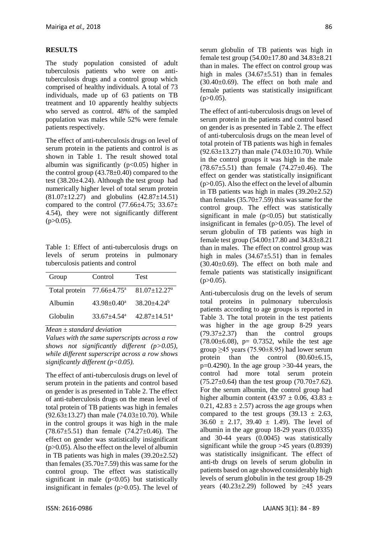#### **RESULTS**

The study population consisted of adult tuberculosis patients who were on antituberculosis drugs and a control group which comprised of healthy individuals. A total of 73 individuals, made up of 63 patients on TB treatment and 10 apparently healthy subjects who served as control. 48% of the sampled population was males while 52% were female patients respectively.

The effect of anti-tuberculosis drugs on level of serum protein in the patients and control is as shown in Table 1. The result showed total albumin was significantly  $(p<0.05)$  higher in the control group  $(43.78\pm0.40)$  compared to the test (38.20±4.24). Although the test group had numerically higher level of total serum protein (81.07±12.27) and globulins (42.87±14.51) compared to the control  $(77.66\pm4.75; 33.67\pm$ 4.54), they were not significantly different  $(p>0.05)$ .

Table 1: Effect of anti-tuberculosis drugs on levels of serum proteins in pulmonary tuberculosis patients and control

| Group                                  | Control                     | <b>Test</b>                   |
|----------------------------------------|-----------------------------|-------------------------------|
| Total protein $77.66 \pm 4.75^{\circ}$ |                             | $81.07 + 12.27$ <sup>a</sup>  |
| Albumin                                | $43.98 \pm 0.40^a$          | $38.20 \pm 4.24$ <sup>b</sup> |
| Globulin                               | $33.67 + 4.54$ <sup>a</sup> | $42.87 + 14.51$ <sup>a</sup>  |

*Mean ± standard deviation*

*Values with the same superscripts across a row shows not significantly different (p>0.05), while different superscript across a row shows significantly different (p<0.05).*

The effect of anti-tuberculosis drugs on level of serum protein in the patients and control based on gender is as presented in Table 2. The effect of anti-tuberculosis drugs on the mean level of total protein of TB patients was high in females  $(92.63 \pm 13.27)$  than male  $(74.03 \pm 10.70)$ . While in the control groups it was high in the male  $(78.67\pm5.51)$  than female  $(74.27\pm0.46)$ . The effect on gender was statistically insignificant  $(p>0.05)$ . Also the effect on the level of albumin in TB patients was high in males  $(39.20 \pm 2.52)$ than females  $(35.70 \pm 7.59)$  this was same for the control group. The effect was statistically significant in male  $(p<0.05)$  but statistically insignificant in females (p>0.05). The level of

serum globulin of TB patients was high in female test group  $(54.00 \pm 17.80$  and  $34.83 \pm 8.21$ than in males. The effect on control group was high in males  $(34.67\pm5.51)$  than in females  $(30.40\pm0.69)$ . The effect on both male and female patients was statistically insignificant  $(p>0.05)$ .

The effect of anti-tuberculosis drugs on level of serum protein in the patients and control based on gender is as presented in Table 2. The effect of anti-tuberculosis drugs on the mean level of total protein of TB patients was high in females  $(92.63 \pm 13.27)$  than male  $(74.03 \pm 10.70)$ . While in the control groups it was high in the male  $(78.67\pm5.51)$  than female  $(74.27\pm0.46)$ . The effect on gender was statistically insignificant (p>0.05). Also the effect on the level of albumin in TB patients was high in males  $(39.20 \pm 2.52)$ than females  $(35.70 \pm 7.59)$  this was same for the control group. The effect was statistically significant in male  $(p<0.05)$  but statistically insignificant in females  $(p>0.05)$ . The level of serum globulin of TB patients was high in female test group (54.00±17.80 and 34.83±8.21 than in males. The effect on control group was high in males  $(34.67\pm5.51)$  than in females  $(30.40\pm0.69)$ . The effect on both male and female patients was statistically insignificant  $(p>0.05)$ .

Anti-tuberculosis drug on the levels of serum total proteins in pulmonary tuberculosis patients according to age groups is reported in Table 3. The total protein in the test patients was higher in the age group 8-29 years  $(79.37\pm2.37)$  than the control groups  $(78.00 \pm 6.08)$ , p= 0.7352, while the test age group  $\geq$ 45 years (75.90 $\pm$ 8.95) had lower serum protein than the control  $(80.60 \pm 6.15,$  $p=0.4290$ ). In the age group >30-44 years, the control had more total serum protein  $(75.27\pm0.64)$  than the test group  $(70.70\pm7.62)$ . For the serum albumin, the control group had higher albumin content (43.97  $\pm$  0.06, 43.83  $\pm$  $0.21, 42.83 \pm 2.57$ ) across the age groups when compared to the test groups  $(39.13 \pm 2.63,$  $36.60 \pm 2.17$ ,  $39.40 \pm 1.49$ ). The level of albumin in the age group 18-29 years (0.0335) and 30-44 years (0.0045) was statistically significant while the group >45 years (0.8939) was statistically insignificant. The effect of anti-tb drugs on levels of serum globulin in patients based on age showed considerably high levels of serum globulin in the test group 18-29 years  $(40.23 \pm 2.29)$  followed by  $\geq 45$  years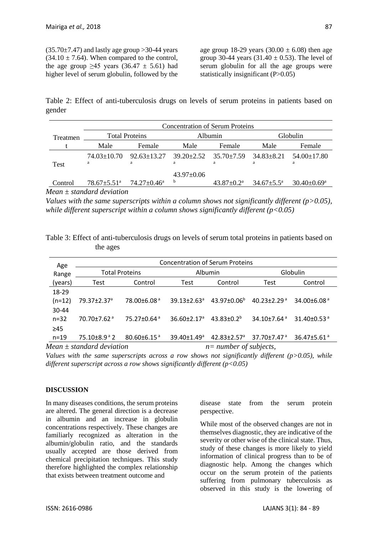$(35.70\pm7.47)$  and lastly age group >30-44 years  $(34.10 \pm 7.64)$ . When compared to the control, the age group  $\geq 45$  years (36.47  $\pm$  5.61) had higher level of serum globulin, followed by the age group 18-29 years  $(30.00 \pm 6.08)$  then age group 30-44 years  $(31.40 \pm 0.53)$ . The level of serum globulin for all the age groups were statistically insignificant (P>0.05)

Table 2: Effect of anti-tuberculosis drugs on levels of serum proteins in patients based on gender

|          | <b>Concentration of Serum Proteins</b>    |                          |                  |                                    |                         |                          |  |
|----------|-------------------------------------------|--------------------------|------------------|------------------------------------|-------------------------|--------------------------|--|
| Treatmen | <b>Total Proteins</b>                     |                          | Albumin          |                                    | Globulin                |                          |  |
|          | Male                                      | Female                   | Male             | Female                             | Male                    | Female                   |  |
|          | $74.03 \pm 10.70$<br>a                    | $92.63 + 13.27$<br>a     | a                | $39.20 + 2.52$ $35.70 + 7.59$<br>a | $34.83 \pm 8.21$<br>a   | $54.00 \pm 17.80$<br>a   |  |
| Test     |                                           |                          | $43.97 \pm 0.06$ |                                    |                         |                          |  |
| Control  | $78.67 \pm 5.51$ <sup>a</sup><br>17. 111. | $74.27 \pm 0.46^{\circ}$ | b                | $43.87 \pm 0.2^{\text{a}}$         | $34.67 \pm 5.5^{\circ}$ | $30.40 \pm 0.69^{\circ}$ |  |

*Mean ± standard deviation*

*Values with the same superscripts within a column shows not significantly different (p>0.05), while different superscript within a column shows significantly different (p<0.05)*

Table 3: Effect of anti-tuberculosis drugs on levels of serum total proteins in patients based on the ages

| Age                           | <b>Concentration of Serum Proteins</b> |                               |                               |                               |                               |                               |  |
|-------------------------------|----------------------------------------|-------------------------------|-------------------------------|-------------------------------|-------------------------------|-------------------------------|--|
| Range                         | <b>Total Proteins</b>                  |                               | <b>Albumin</b>                |                               | Globulin                      |                               |  |
| (years)                       | Test                                   | Control                       | Test                          | Control                       | Test                          | Control                       |  |
| 18-29                         |                                        |                               |                               |                               |                               |                               |  |
| $(n=12)$                      | 79.37±2.37 <sup>a</sup>                | 78.00±6.08 <sup>a</sup>       | $39.13 + 2.63$ <sup>a</sup>   | $43.97 \pm 0.06^b$            | $40.23 \pm 2.29$ <sup>a</sup> | 34.00 $\pm$ 6.08 $^{\circ}$   |  |
| 30-44                         |                                        |                               |                               |                               |                               |                               |  |
| $n = 32$                      | $70.70 + 7.62$ <sup>a</sup>            | 75.27±0.64 <sup>a</sup>       | $36.60 \pm 2.17$ <sup>a</sup> | $43.83 \pm 0.2^b$             | $34.10{\pm}7.64^{\text{a}}$   | 31.40 $\pm$ 0.53 $a$          |  |
| $\geq 45$                     |                                        |                               |                               |                               |                               |                               |  |
| $n = 19$                      | $75.10\pm8.9^{\circ}$ 2                | $80.60 \pm 6.15$ <sup>a</sup> | $39.40 + 1.49$ <sup>a</sup>   | $42.83 \pm 2.57$ <sup>a</sup> | $37.70 \pm 7.47$ <sup>a</sup> | 36.47 $\pm$ 5.61 $\mathrm{a}$ |  |
| Mean $\pm$ standard deviation |                                        |                               | $n=$ number of subjects,      |                               |                               |                               |  |

*Values with the same superscripts across a row shows not significantly different (p>0.05), while different superscript across a row shows significantly different (p<0.05)*

## **DISCUSSION**

In many diseases conditions, the serum proteins are altered. The general direction is a decrease in albumin and an increase in globulin concentrations respectively. These changes are familiarly recognized as alteration in the albumin/globulin ratio, and the standards usually accepted are those derived from chemical precipitation techniques. This study therefore highlighted the complex relationship that exists between treatment outcome and

disease state from the serum protein perspective.

While most of the observed changes are not in themselves diagnostic, they are indicative of the severity or other wise of the clinical state. Thus, study of these changes is more likely to yield information of clinical progress than to be of diagnostic help. Among the changes which occur on the serum protein of the patients suffering from pulmonary tuberculosis as observed in this study is the lowering of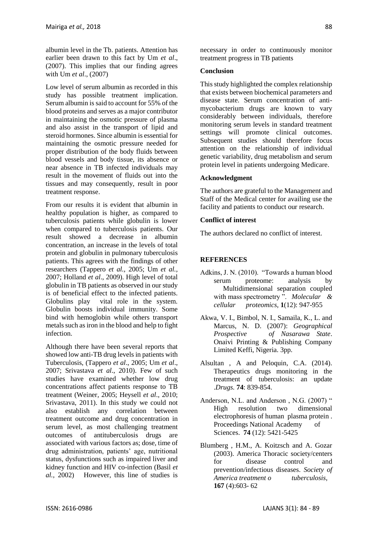albumin level in the Tb. patients. Attention has earlier been drawn to this fact by Um *et al*., (2007). This implies that our finding agrees with Um *et al*., (2007)

Low level of serum albumin as recorded in this study has possible treatment implication. Serum albumin is said to account for 55% of the blood proteins and serves as a major contributor in maintaining the osmotic pressure of plasma and also assist in the transport of lipid and steroid hormones. Since albumin is essential for maintaining the osmotic pressure needed for proper distribution of the body fluids between blood vessels and body tissue, its absence or near absence in TB infected individuals may result in the movement of fluids out into the tissues and may consequently, result in poor treatment response.

From our results it is evident that albumin in healthy population is higher, as compared to tuberculosis patients while globulin is lower when compared to tuberculosis patients. Our result showed a decrease in albumin concentration, an increase in the levels of total protein and globulin in pulmonary tuberculosis patients. This agrees with the findings of other researchers (Tappero *et al.,* 2005; Um *et al.,*  2007; Holland *et al*., 2009). High level of total globulin in TB patients as observed in our study is of beneficial effect to the infected patients. Globulins play vital role in the system. Globulin boosts individual immunity. Some bind with hemoglobin while others transport metals such as iron in the blood and help to fight infection.

Although there have been several reports that showed low anti-TB drug levels in patients with Tuberculosis, (Tappero *et al*., 2005; Um *et al*., 2007; Srivastava *et al*., 2010). Few of such studies have examined whether low drug concentrations affect patients response to TB treatment (Weiner*,* 2005; Heysell *et al*., 2010; Srivastava, 2011). In this study we could not also establish any correlation between treatment outcome and drug concentration in serum level, as most challenging treatment outcomes of antituberculosis drugs are associated with various factors as; dose, time of drug administration, patients' age, nutritional status, dysfunctions such as impaired liver and kidney function and HIV co-infection (Basil *et al.,* 2002) However, this line of studies is

necessary in order to continuously monitor treatment progress in TB patients

### **Conclusion**

This study highlighted the complex relationship that exists between biochemical parameters and disease state. Serum concentration of antimycobacterium drugs are known to vary considerably between individuals, therefore monitoring serum levels in standard treatment settings will promote clinical outcomes. Subsequent studies should therefore focus attention on the relationship of individual genetic variability, drug metabolism and serum protein level in patients undergoing Medicare.

#### **Acknowledgment**

The authors are grateful to the Management and Staff of the Medical center for availing use the facility and patients to conduct our research.

### **Conflict of interest**

The authors declared no conflict of interest.

### **REFERENCES**

- Adkins, J. N. (2010). "Towards a human blood serum proteome: analysis by Multidimensional separation coupled with mass spectrometry ". *Molecular & cellular proteomics,* **1**(12): 947-955
- Akwa, V. I., Bimbol, N. I., Samaila, K., L. and Marcus, N. D. (2007): *Geographical Prospective of Nasarawa State*. Onaivi Printing & Publishing Company Limited Keffi, Nigeria. 3pp.
- Alsultan , A and Peloquin, C.A. (2014). Therapeutics drugs monitoring in the treatment of tuberculosis: an update .*Drugs.* **74**: 839-854.
- Anderson, N.L. and Anderson, N.G. (2007) " High resolution two dimensional electrophoresis of human plasma protein . Proceedings National Academy of Sciences. **74** (12): 5421-5425
- Blumberg , H.M., A. Koitzsch and A. Gozar (2003). America Thoracic society/centers for disease control and prevention/infectious diseases. *Society of America treatment o tuberculosis,* **167** (4):603- 62